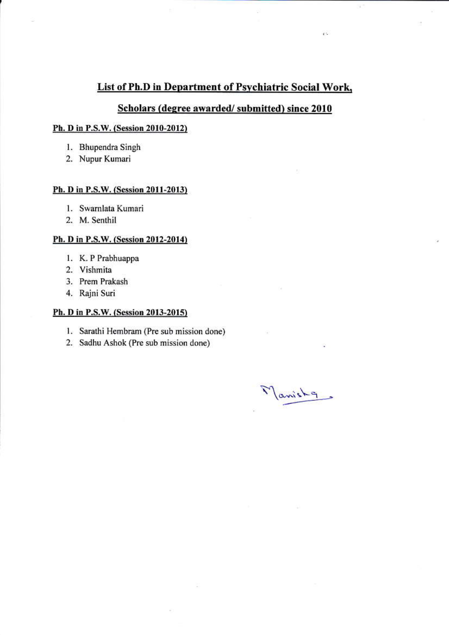## List of Ph.D in Department of Psychiatric Social Work,

## Scholars (degree awarded/submitted) since 2010

### Ph. D in P.S.W. (Session 2010-2012)

- 1. Bhupendra Singh
- 2. Nupur Kumari

#### Ph. D in P.S.W. (Session 2011-2013)

- 1. Swarnlata Kumari
- 2. M. Senthil

#### Ph. D in P.S.W. (Session 2012-2014)

- 1. K. P Prabhuappa
- 2. Vishmita
- 3. Prem Prakash
- 4. Rajni Suri

#### Ph. D in P.S.W. (Session 2013-2015)

- 1. Sarathi Hembram (Pre sub mission done)
- 2. Sadhu Ashok (Pre sub mission done)

Manisha

e.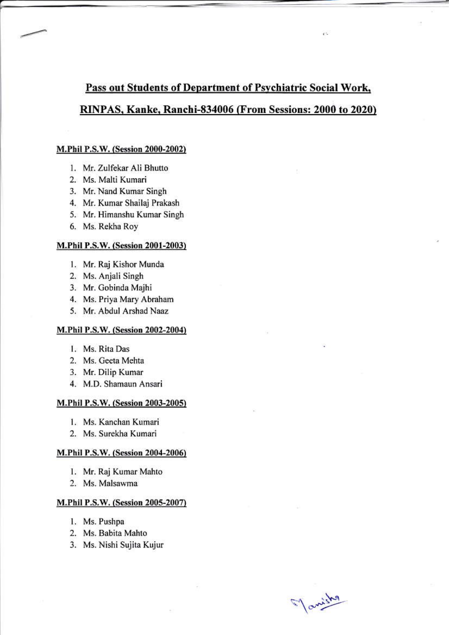# Pass out Students of Department of Psychiatric Social Work, RINPAS, Kanke, Ranchi-834006 (From Sessions: 2000 to 2020)

e.

#### M.Phil P.S.W. (Session 2000-2002)

- 1. Mr. Zulfekar Ali Bhutto
- 2. Ms. Malti Kumari
- 3. Mr. Nand Kumar Singh
- 4. Mr. Kumar Shailaj Prakash
- 5. Mr. Himanshu Kumar Singh
- 6. Ms. Rekha Roy

#### M.Phil P.S.W. (Session 2001-2003)

- 1. Mr. Raj Kishor Munda
- 2. Ms. Anjali Singh
- 3. Mr. Gobinda Majhi
- 4. Ms. Priya Mary Abraham
- 5. Mr. Abdul Arshad Naaz

#### M.Phil P.S.W. (Session 2002-2004)

- 1. Ms. Rita Das
- 2. Ms. Geeta Mehta
- 3. Mr. Dilip Kumar
- 4. M.D. Shamaun Ansari

#### M.Phil P.S.W. (Session 2003-2005)

- 1. Ms. Kanchan Kumari
- 2. Ms. Surekha Kumari

#### M.Phil P.S.W. (Session 2004-2006)

- 1. Mr. Raj Kumar Mahto
- 2. Ms. Malsawma

#### M.Phil P.S.W. (Session 2005-2007)

- 1. Ms. Pushpa
- 2. Ms. Babita Mahto
- 3. Ms. Nishi Sujita Kujur

Manisha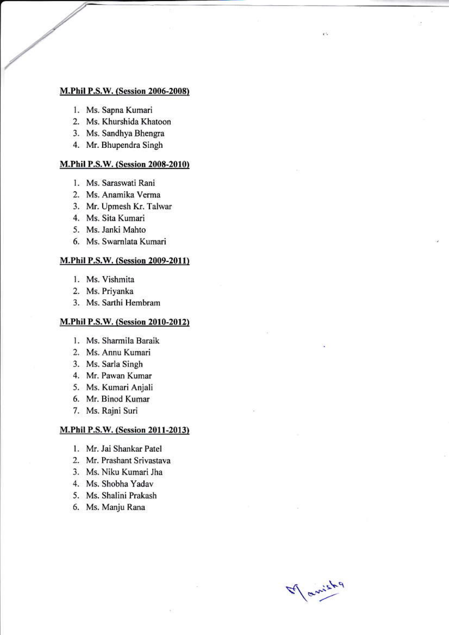#### **M.Phil P.S.W. (Session 2006-2008)**

- 1. Ms. Sapna Kumari
- 2. Ms. Khurshida Khatoon
- 3. Ms. Sandhya Bhengra
- 4. Mr. Bhupendra Singh

#### M.Phil P.S.W. (Session 2008-2010)

- 1. Ms. Saraswati Rani
- 2. Ms. Anamika Verma
- 3. Mr. Upmesh Kr. Talwar
- 4. Ms. Sita Kumari
- 5. Ms. Janki Mahto
- 6. Ms. Swarnlata Kumari

#### M.Phil P.S.W. (Session 2009-2011)

- 1. Ms. Vishmita
- 2. Ms. Priyanka
- 3. Ms. Sarthi Hembram

## M.Phil P.S.W. (Session 2010-2012)

- 1. Ms. Sharmila Baraik
- 2. Ms. Annu Kumari
- 3. Ms. Sarla Singh
- 4. Mr. Pawan Kumar
- 5. Ms. Kumari Anjali
- 6. Mr. Binod Kumar
- 7. Ms. Rajni Suri

#### M.Phil P.S.W. (Session 2011-2013)

- 1. Mr. Jai Shankar Patel
- 2. Mr. Prashant Srivastava
- 3. Ms. Niku Kumari Jha
- 4. Ms. Shobha Yadav
- 5. Ms. Shalini Prakash
- 6. Ms. Manju Rana

If anich

 $\mathbf{r}$  :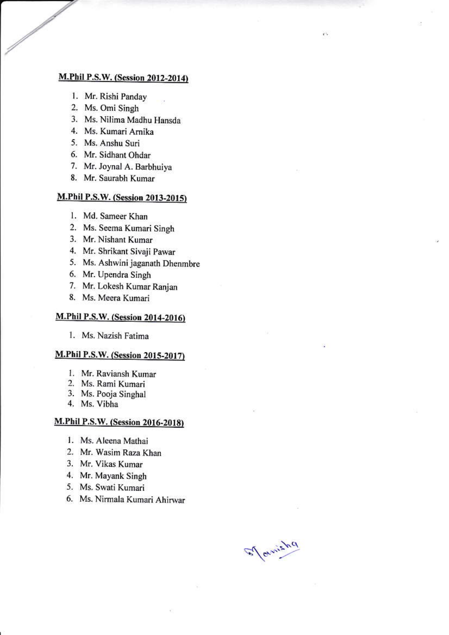## M.Phil P.S.W. (Session 2012-2014)

- 1. Mr. Rishi Panday
- 2. Ms. Omi Singh
- 3. Ms. Nilima Madhu Hansda
- 4. Ms. Kumari Arnika
- 5. Ms. Anshu Suri
- 6. Mr. Sidhant Ohdar
- 7. Mr. Joynal A. Barbhuiya
- 8. Mr. Saurabh Kumar

## M.Phil P.S.W. (Session 2013-2015)

- 1. Md. Sameer Khan
- 2. Ms. Seema Kumari Singh
- 3. Mr. Nishant Kumar
- 4. Mr. Shrikant Sivaji Pawar
- 5. Ms. Ashwini jaganath Dhenmbre
- 6. Mr. Upendra Singh
- 7. Mr. Lokesh Kumar Ranjan
- 8. Ms. Meera Kumari

## M.Phil P.S.W. (Session 2014-2016)

1. Ms. Nazish Fatima

## **M.Phil P.S.W.** (Session 2015-2017)

- 1. Mr. Raviansh Kumar
- 2. Ms. Rami Kumari
- 3. Ms. Pooja Singhal
- 4. Ms. Vibha

## M.Phil P.S.W. (Session 2016-2018)

- 1. Ms. Aleena Mathai
- 2. Mr. Wasim Raza Khan
- 3. Mr. Vikas Kumar
- 4. Mr. Mayank Singh
- 5. Ms. Swati Kumari
- 6. Ms. Nirmala Kumari Ahirwar

El avrisha